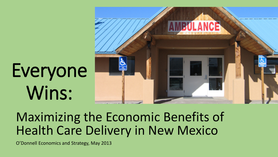# Everyone Wins:



### Maximizing the Economic Benefits of Health Care Delivery in New Mexico

O'Donnell Economics and Strategy, May 2013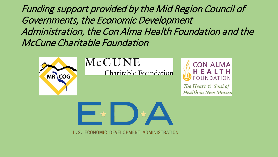Funding support provided by the Mid Region Council of Governments, the Economic Development Administration, the Con Alma Health Foundation and the McCune Charitable Foundation



#### MCCUNE

Charitable Foundation



The Heart & Soul of **Health in New Mexico** 



U.S. ECONOMIC DEVELOPMENT ADMINISTRATION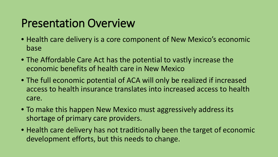#### Presentation Overview

- Health care delivery is a core component of New Mexico's economic base
- The Affordable Care Act has the potential to vastly increase the economic benefits of health care in New Mexico
- The full economic potential of ACA will only be realized if increased access to health insurance translates into increased access to health care.
- To make this happen New Mexico must aggressively address its shortage of primary care providers.
- Health care delivery has not traditionally been the target of economic development efforts, but this needs to change.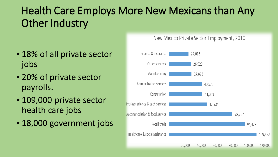#### Health Care Employs More New Mexicans than Any Other Industry

- 18% of all private sector jobs
- 20% of private sector payrolls.
- 109,000 private sector health care jobs
- 18,000 government jobs

#### New Mexico Private Sector Employment, 2010

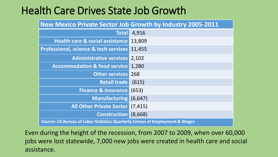#### Health Care Drives State Job Growth

| New Mexico Private Sector Job Growth by Industry 2005-2011                   |          |  |  |  |
|------------------------------------------------------------------------------|----------|--|--|--|
| <b>Total</b>                                                                 | 4,916    |  |  |  |
| Health care & social assistance                                              | 13,809   |  |  |  |
| <b>Professional, science &amp; tech services</b>                             | 11,455   |  |  |  |
| <b>Administrative services</b>                                               | 2,102    |  |  |  |
| <b>Accommodation &amp; food service</b>                                      | 1,280    |  |  |  |
| <b>Other services</b>                                                        | 268      |  |  |  |
| <b>Retail trade</b>                                                          | (615)    |  |  |  |
| <b>Finance &amp; insurance</b>                                               | (653)    |  |  |  |
| <b>Manufacturing</b>                                                         | (6, 647) |  |  |  |
| <b>All Other Private Sector</b>                                              | (7, 415) |  |  |  |
| <b>Construction</b>                                                          | (8,668)  |  |  |  |
| Source: US Bureau of Labor Statistics Quarterly Census of Employment & Wages |          |  |  |  |

Even during the height of the recession, from 2007 to 2009, when over 60,000 jobs were lost statewide, 7,000 new jobs were created in health care and social assistance.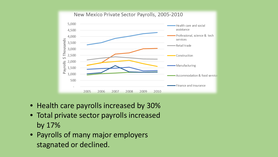

- Health care payrolls increased by 30%
- Total private sector payrolls increased by 17%
- Payrolls of many major employers stagnated or declined.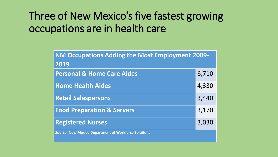#### Three of New Mexico's five fastest growing occupations are in health care

| <b>NM Occupations Adding the Most Employment 2009-</b>      |       |  |  |  |
|-------------------------------------------------------------|-------|--|--|--|
| 2019                                                        |       |  |  |  |
| <b>Personal &amp; Home Care Aides</b>                       | 6,710 |  |  |  |
| <b>Home Health Aides</b>                                    | 4,330 |  |  |  |
| <b>Retail Salespersons</b>                                  | 3,440 |  |  |  |
| <b>Food Preparation &amp; Servers</b>                       | 3,170 |  |  |  |
| <b>Registered Nurses</b>                                    | 3,030 |  |  |  |
| <b>Source: New Mexico Department of Workforce Solutions</b> |       |  |  |  |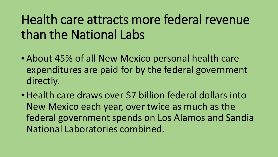# Health care attracts more federal revenue than the National Labs

- About 45% of all New Mexico personal health care expenditures are paid for by the federal government directly.
- Health care draws over \$7 billion federal dollars into New Mexico each year, over twice as much as the federal government spends on Los Alamos and Sandia National Laboratories combined.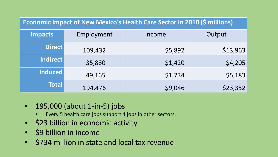| <b>Economic Impact of New Mexico's Health Care Sector in 2010 (\$ millions)</b> |            |         |          |  |  |  |  |  |
|---------------------------------------------------------------------------------|------------|---------|----------|--|--|--|--|--|
| <b>Impacts</b>                                                                  | Employment | Income  | Output   |  |  |  |  |  |
| <b>Direct</b>                                                                   | 109,432    | \$5,892 | \$13,963 |  |  |  |  |  |
| Indirect                                                                        | 35,880     | \$1,420 | \$4,205  |  |  |  |  |  |
| Induced                                                                         | 49,165     | \$1,734 | \$5,183  |  |  |  |  |  |
| <b>Total</b>                                                                    | 194,476    | \$9,046 | \$23,352 |  |  |  |  |  |

- 195,000 (about 1-in-5) jobs
	- Every 5 health care jobs support 4 jobs in other sectors.
- \$23 billion in economic activity
- \$9 billion in income
- \$734 million in state and local tax revenue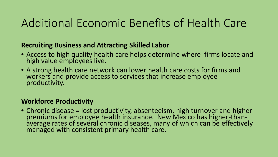#### Additional Economic Benefits of Health Care

#### **Recruiting Business and Attracting Skilled Labor**

- Access to high quality health care helps determine where firms locate and high value employees live.
- A strong health care network can lower health care costs for firms and workers and provide access to services that increase employee productivity.

#### **Workforce Productivity**

• Chronic disease = lost productivity, absenteeism, high turnover and higher premiums for employee health insurance. New Mexico has higher-than-<br>average rates of several chronic diseases, many of which can be effectively managed with consistent primary health care.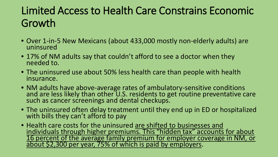#### Limited Access to Health Care Constrains Economic Growth

- Over 1-in-5 New Mexicans (about 433,000 mostly non-elderly adults) are uninsured
- 17% of NM adults say that couldn't afford to see a doctor when they needed to.
- The uninsured use about 50% less health care than people with health insurance.
- NM adults have above-average rates of ambulatory-sensitive conditions and are less likely than other U.S. residents to get routine preventative care such as cancer screenings and dental checkups.
- The uninsured often delay treatment until they end up in ED or hospitalized with bills they can't afford to pay
- Health care costs for the uninsured are shifted to businesses and individuals through higher premiums. This "hidden tax" accounts for about 16 percent of the average family premium for employer coverage in NM, or about \$2,300 per year, 75% of which is paid by employers.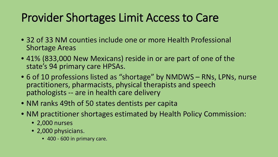### Provider Shortages Limit Access to Care

- 32 of 33 NM counties include one or more Health Professional Shortage Areas
- 41% (833,000 New Mexicans) reside in or are part of one of the state's 94 primary care HPSAs.
- 6 of 10 professions listed as "shortage" by NMDWS RNs, LPNs, nurse practitioners, pharmacists, physical therapists and speech pathologists -- are in health care delivery
- NM ranks 49th of 50 states dentists per capita
- NM practitioner shortages estimated by Health Policy Commission:
	- 2,000 nurses
	- 2,000 physicians.
		- 400 600 in primary care.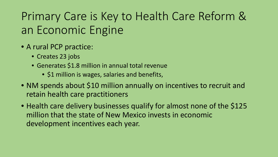## Primary Care is Key to Health Care Reform & an Economic Engine

- A rural PCP practice:
	- Creates 23 jobs
	- Generates \$1.8 million in annual total revenue
		- \$1 million is wages, salaries and benefits,
- NM spends about \$10 million annually on incentives to recruit and retain health care practitioners
- Health care delivery businesses qualify for almost none of the \$125 million that the state of New Mexico invests in economic development incentives each year.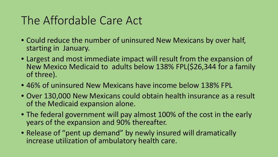#### The Affordable Care Act

- Could reduce the number of uninsured New Mexicans by over half, starting in January.
- Largest and most immediate impact will result from the expansion of New Mexico Medicaid to adults below 138% FPL(\$26,344 for a family of three).
- 46% of uninsured New Mexicans have income below 138% FPL
- Over 130,000 New Mexicans could obtain health insurance as a result of the Medicaid expansion alone.
- The federal government will pay almost 100% of the cost in the early years of the expansion and 90% thereafter.
- Release of "pent up demand" by newly insured will dramatically increase utilization of ambulatory health care.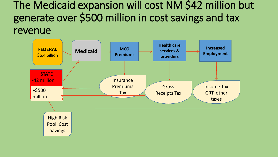The Medicaid expansion will cost NM \$42 million but generate over \$500 million in cost savings and tax revenue

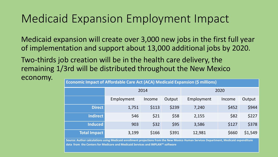#### Medicaid Expansion Employment Impact

Medicaid expansion will create over 3,000 new jobs in the first full year of implementation and support about 13,000 additional jobs by 2020.

Two-thirds job creation will be in the health care delivery, the remaining 1/3rd will be distributed throughout the New Mexico

| economy. |                                                                               |            |        |        |            |        |         |  |  |
|----------|-------------------------------------------------------------------------------|------------|--------|--------|------------|--------|---------|--|--|
|          | Economic Impact of Affordable Care Act (ACA) Medicaid Expansion (\$ millions) |            |        |        |            |        |         |  |  |
|          |                                                                               | 2014       |        |        | 2020       |        |         |  |  |
|          |                                                                               | Employment | Income | Output | Employment | Income | Output  |  |  |
|          | <b>Direct</b>                                                                 | 1,751      | \$113  | \$239  | 7,240      | \$452  | \$944   |  |  |
|          | <b>Indirect</b>                                                               | 546        | \$21   | \$58   | 2,155      | \$82   | \$227   |  |  |
|          | <b>Induced</b>                                                                | 903        | \$32   | \$95   | 3,586      | \$127  | \$378   |  |  |
|          | <b>Total Impact</b>                                                           | 3,199      | \$166  | \$391  | 12,981     | \$660  | \$1,549 |  |  |

**Source: Author calculations using Medicaid enrollment projections from the New Mexico Human Services Department, Medicaid expenditure data from the Centers for Medicare and Medicaid Services and IMPLAN™ software**